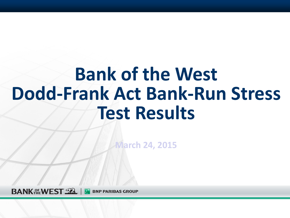# **Bank of the West Dodd-Frank Act Bank-Run Stress Test Results**

**March 24, 2015**

**BANK HEWEST TREAT BNP PARIBAS GROUP**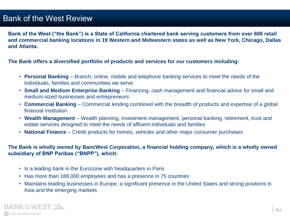## Bank of the West Review

**Bank of the West ("the Bank") is a State of California chartered bank serving customers from over 600 retail and commercial banking locations in 19 Western and Midwestern states as well as New York, Chicago, Dallas and Atlanta.**

**The Bank offers a diversified portfolio of products and services for our customers including:**

- **Personal Banking**  Branch, online, mobile and telephone banking services to meet the needs of the individuals, families and communities we serve
- **Small and Medium Enterprise Banking**  Financing, cash management and financial advice for small and medium‐sized businesses and entrepreneurs
- **Commercial Banking**  Commercial lending combined with the breadth of products and expertise of a global financial institution
- **Wealth Management**  Wealth planning, investment management, personal banking, retirement, trust and estate services designed to meet the needs of affluent individuals and families
- **National Finance**  Credit products for homes, vehicles and other major consumer purchases

#### **The Bank is wholly owned by BancWest Corporation, a financial holding company, which is a wholly owned subsidiary of BNP Paribas ("BNPP"), which:**

- Is a leading bank in the Eurozone with headquarters in Paris
- Has more than 188,000 employees and has a presence in 75 countries
- Maintains leading businesses in Europe, a significant presence in the United States and strong positions in Asia and the emerging markets

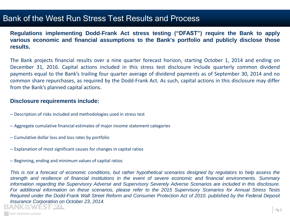### Bank of the West Run Stress Test Results and Process

**Regulations implementing Dodd**‐**Frank Act stress testing ("DFAST") require the Bank to apply various economic and financial assumptions to the Bank's portfolio and publicly disclose those results.**

The Bank projects financial results over a nine quarter forecast horizon, starting October 1, 2014 and ending on December 31, 2016. Capital actions included in this stress test disclosure include quarterly common dividend payments equal to the Bank's trailing four quarter average of dividend payments as of September 30, 2014 and no common share repurchases, as required by the Dodd‐Frank Act. As such, capital actions in this disclosure may differ from the Bank's planned capital actions.

#### **Disclosure requirements include:**

- Description of risks included and methodologies used in stress test
- Aggregate cumulative financial estimates of major income statement categories
- Cumulative dollar loss and loss rates by portfolio
- Explanation of most significant causes for changes in capital ratios
- Beginning, ending and minimum values of capital ratios

This is not a forecast of economic conditions, but rather hypothetical scenarios designed by regulators to help assess the strength and resilience of financial institutions in the event of severe economic and financial environments. Summary information regarding the Supervisory Adverse and Supervisory Severely Adverse Scenarios are included in this disclosure. For additional information on these scenarios, please refer to the 2015 Supervisory Scenarios for Annual Stress Tests Required under the Dodd-Frank Wall Street Reform and Consumer Protection Act of 2010, published by the Federal Deposit *Insurance Corporation on October 23, 2014.***NK AFWEST SZL** 

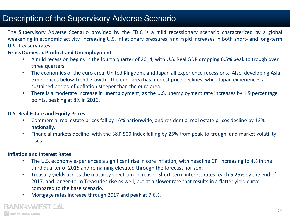## Description of the Supervisory Adverse Scenario

The Supervisory Adverse Scenario provided by the FDIC is a mild recessionary scenario characterized by a global weakening in economic activity, increasing U.S. inflationary pressures, and rapid increases in both short- and long-term U.S. Treasury rates.

#### **Gross Domestic Product and Unemployment**

- A mild recession begins in the fourth quarter of 2014, with U.S. Real GDP dropping 0.5% peak to trough over three quarters.
- The economies of the euro area, United Kingdom, and Japan all experience recessions. Also, developing Asia experiences below-trend growth. The euro area has modest price declines, while Japan experiences a sustained period of deflation steeper than the euro area.
- There is a moderate increase in unemployment, as the U.S. unemployment rate increases by 1.9 percentage points, peaking at 8% in 2016.

#### **U.S. Real Estate and Equity Prices**

- Commercial real estate prices fall by 16% nationwide, and residential real estate prices decline by 13% nationally.
- Financial markets decline, with the S&P 500 Index falling by 25% from peak-to-trough, and market volatility rises.

#### **Inflation and Interest Rates**

- The U.S. economy experiences a significant rise in core inflation, with headline CPI increasing to 4% in the third quarter of 2015 and remaining elevated through the forecast horizon.
- Treasury yields across the maturity spectrum increase. Short-term interest rates reach 5.25% by the end of 2017, and longer-term Treasuries rise as well, but at a slower rate that results in a flatter yield curve compared to the base scenario.
- Mortgage rates increase through 2017 and peak at 7.6%.

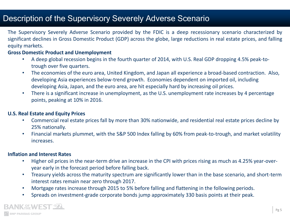## Description of the Supervisory Severely Adverse Scenario

The Supervisory Severely Adverse Scenario provided by the FDIC is a deep recessionary scenario characterized by significant declines in Gross Domestic Product (GDP) across the globe, large reductions in real estate prices, and falling equity markets.

#### **Gross Domestic Product and Unemployment**

- A deep global recession begins in the fourth quarter of 2014, with U.S. Real GDP dropping 4.5% peak-totrough over five quarters.
- The economies of the euro area, United Kingdom, and Japan all experience a broad-based contraction. Also, developing Asia experiences below-trend growth. Economies dependent on imported oil, including developing Asia, Japan, and the euro area, are hit especially hard by increasing oil prices.
- There is a significant increase in unemployment, as the U.S. unemployment rate increases by 4 percentage points, peaking at 10% in 2016.

#### **U.S. Real Estate and Equity Prices**

- Commercial real estate prices fall by more than 30% nationwide, and residential real estate prices decline by 25% nationally.
- Financial markets plummet, with the S&P 500 Index falling by 60% from peak-to-trough, and market volatility increases.

#### **Inflation and Interest Rates**

- Higher oil prices in the near-term drive an increase in the CPI with prices rising as much as 4.25% year-overyear early in the forecast period before falling back.
- Treasury yields across the maturity spectrum are significantly lower than in the base scenario, and short-term interest rates remain near zero through 2017.
- Mortgage rates increase through 2015 to 5% before falling and flattening in the following periods.
- Spreads on investment-grade corporate bonds jump approximately 330 basis points at their peak.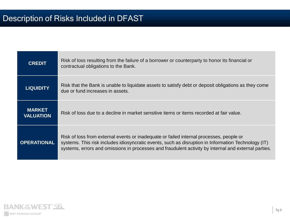| <b>CREDIT</b>                     | Risk of loss resulting from the failure of a borrower or counterparty to honor its financial or<br>contractual obligations to the Bank.                                                                                                                                                                |
|-----------------------------------|--------------------------------------------------------------------------------------------------------------------------------------------------------------------------------------------------------------------------------------------------------------------------------------------------------|
| <b>LIQUIDITY</b>                  | Risk that the Bank is unable to liquidate assets to satisfy debt or deposit obligations as they come<br>due or fund increases in assets.                                                                                                                                                               |
| <b>MARKET</b><br><b>VALUATION</b> | Risk of loss due to a decline in market sensitive items or items recorded at fair value.                                                                                                                                                                                                               |
| <b>OPERATIONAL</b>                | Risk of loss from external events or inadequate or failed internal processes, people or<br>systems. This risk includes idiosyncratic events, such as disruption in Information Technology (IT)<br>systems, errors and omissions in processes and fraudulent activity by internal and external parties. |

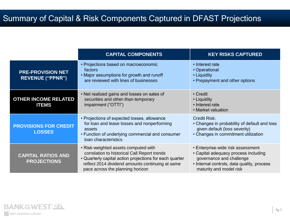## Summary of Capital & Risk Components Captured in DFAST Projections

|                                                     | <b>CAPITAL COMPONENTS</b>                                                                                                                                                                                                               | <b>KEY RISKS CAPTURED</b>                                                                                                                                                      |
|-----------------------------------------------------|-----------------------------------------------------------------------------------------------------------------------------------------------------------------------------------------------------------------------------------------|--------------------------------------------------------------------------------------------------------------------------------------------------------------------------------|
| <b>PRE-PROVISION NET</b><br><b>REVENUE ("PPNR")</b> | • Projections based on macroeconomic<br>factors<br>• Major assumptions for growth and runoff<br>are reviewed with lines of businesses                                                                                                   | • Interest rate<br>• Operational<br>• Liquidity<br>• Prepayment and other options                                                                                              |
| <b>OTHER INCOME RELATED</b><br><b>ITEMS</b>         | • Net realized gains and losses on sales of<br>securities and other-than-temporary<br>impairment ("OTTI")                                                                                                                               | • Credit<br>• Liquidity<br>• Interest rate<br>• Market valuation                                                                                                               |
| <b>PROVISIONS FOR CREDIT</b><br><b>LOSSES</b>       | • Projections of expected losses, allowance<br>for loan and lease losses and nonperforming<br>assets<br>• Function of underlying commercial and consumer<br>loan characteristics                                                        | <b>Credit Risk:</b><br>• Changes in probability of default and loss<br>given default (loss severity)<br>• Changes in commitment utilization                                    |
| <b>CAPITAL RATIOS AND</b><br><b>PROJECTIONS</b>     | • Risk-weighted assets computed with<br>correlation to historical Call Report trends<br>• Quarterly capital action projections for each quarter<br>reflect 2014 dividend amounts continuing at same<br>pace across the planning horizon | • Enterprise-wide risk assessment<br>• Capital adequacy process including<br>governance and challenge<br>• Internal controls, data quality, process<br>maturity and model risk |

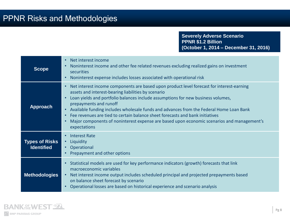**Severely Adverse Scenario PPNR \$1.2 Billion (October 1, 2014 – December 31, 2016)**

| <b>Scope</b>                               | Net interest income<br>Noninterest income and other fee related revenues excluding realized gains on investment<br>securities<br>Noninterest expense includes losses associated with operational risk                                                                                                                                                                                                                                                                                                                                                                 |
|--------------------------------------------|-----------------------------------------------------------------------------------------------------------------------------------------------------------------------------------------------------------------------------------------------------------------------------------------------------------------------------------------------------------------------------------------------------------------------------------------------------------------------------------------------------------------------------------------------------------------------|
| <b>Approach</b>                            | Net interest income components are based upon product level forecast for interest-earning<br>assets and interest-bearing liabilities by scenario<br>Loan yields and portfolio balances include assumptions for new business volumes,<br>prepayments and runoff<br>Available funding includes wholesale funds and advances from the Federal Home Loan Bank<br>$\bullet$<br>Fee revenues are tied to certain balance sheet forecasts and bank initiatives<br>Major components of noninterest expense are based upon economic scenarios and management's<br>expectations |
| <b>Types of Risks</b><br><b>Identified</b> | <b>Interest Rate</b><br>Liquidity<br>$\bullet$<br>• Operational<br>Prepayment and other options                                                                                                                                                                                                                                                                                                                                                                                                                                                                       |
| <b>Methodologies</b>                       | Statistical models are used for key performance indicators (growth) forecasts that link<br>macroeconomic variables<br>Net interest income output includes scheduled principal and projected prepayments based<br>on balance sheet forecast by scenario<br>Operational losses are based on historical experience and scenario analysis                                                                                                                                                                                                                                 |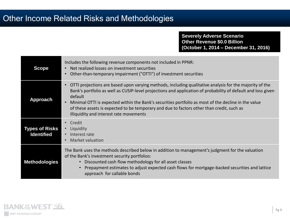## **Other Income Related Risks and Methodologies**

#### **Severely Adverse Scenario Other Revenue \$0.0 Billion (October 1, 2014 – December 31, 2016)**

| <b>Scope</b>                               | Includes the following revenue components not included in PPNR:<br>Net realized losses on investment securities<br>Other-than-temporary impairment ("OTTI") of investment securities                                                                                                                                                                                                                                                                                              |
|--------------------------------------------|-----------------------------------------------------------------------------------------------------------------------------------------------------------------------------------------------------------------------------------------------------------------------------------------------------------------------------------------------------------------------------------------------------------------------------------------------------------------------------------|
| <b>Approach</b>                            | OTTI projections are based upon varying methods, including qualitative analysis for the majority of the<br>Bank's portfolio as well as CUSIP-level projections and application of probability of default and loss given<br>default<br>Minimal OTTI is expected within the Bank's securities portfolio as most of the decline in the value<br>of these assets is expected to be temporary and due to factors other than credit, such as<br>illiquidity and interest rate movements |
| <b>Types of Risks</b><br><b>Identified</b> | Credit<br>Liquidity<br>$\bullet$<br>Interest rate<br>Market valuation                                                                                                                                                                                                                                                                                                                                                                                                             |
| <b>Methodologies</b>                       | The Bank uses the methods described below in addition to management's judgment for the valuation<br>of the Bank's investment security portfolios:<br>Discounted cash flow methodology for all asset classes<br>Prepayment estimates to adjust expected cash flows for mortgage-backed securities and lattice<br>approach for callable bonds                                                                                                                                       |

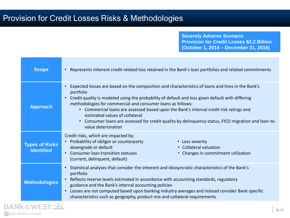**Severely Adverse Scenario Provision for Credit Losses \$2.2 Billion (October 1, 2014 – December 31, 2016)**

| <b>Scope</b>                               | Represents inherent credit-related loss retained in the Bank's loan portfolios and related commitments<br>$\bullet$                                                                                                                                                                                                                                                                                                                                                                                                                                                              |  |  |  |  |  |  |  |
|--------------------------------------------|----------------------------------------------------------------------------------------------------------------------------------------------------------------------------------------------------------------------------------------------------------------------------------------------------------------------------------------------------------------------------------------------------------------------------------------------------------------------------------------------------------------------------------------------------------------------------------|--|--|--|--|--|--|--|
| <b>Approach</b>                            | Expected losses are based on the composition and characteristics of loans and lines in the Bank's<br>$\bullet$<br>portfolio<br>Credit quality is modeled using the probability of default and loss given default with differing<br>$\bullet$<br>methodologies for commercial and consumer loans as follows:<br>• Commercial loans are assessed based upon the Bank's internal credit risk ratings and<br>estimated values of collateral<br>Consumer loans are assessed for credit quality by delinguency status, FICO migration and loan-to-<br>$\bullet$<br>value deterioration |  |  |  |  |  |  |  |
| <b>Types of Risks</b><br><b>Identified</b> | Credit risks, which are impacted by:<br>Probability of obligor or counterparty<br>• Loss severity<br>$\bullet$<br>downgrade or default<br>• Collateral valuation<br>• Consumer loan transition statuses<br>• Changes in commitment utilization<br>(current, delinquent, default)                                                                                                                                                                                                                                                                                                 |  |  |  |  |  |  |  |
| <b>Methodologies</b>                       | Statistical analyses that consider the inherent and idiosyncratic characteristics of the Bank's<br>$\bullet$<br>portfolio<br>• Reflects reserve levels estimated in accordance with accounting standards, regulatory<br>guidance and the Bank's internal accounting policies<br>Losses are not computed based upon banking industry averages and instead consider Bank specific<br>$\bullet$<br>characteristics such as geography, product mix and collateral requirements                                                                                                       |  |  |  |  |  |  |  |
|                                            |                                                                                                                                                                                                                                                                                                                                                                                                                                                                                                                                                                                  |  |  |  |  |  |  |  |

R.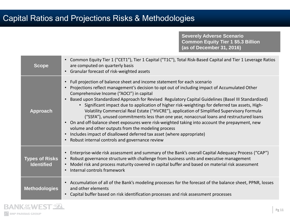## Capital Ratios and Projections Risks & Methodologies

**Severely Adverse Scenario Common Equity Tier 1 \$5.3 Billion (as of December 31, 2016)**

| <b>Scope</b>                               | Common Equity Tier 1 ("CET1"), Tier 1 Capital ("T1C"), Total Risk-Based Capital and Tier 1 Leverage Ratios<br>are computed on quarterly basis<br>Granular forecast of risk-weighted assets<br>$\bullet$                                                                                                                                                                                                                                                                                                                                                                                                                                                                                                                                                                                                                                                                                                                                                                     |
|--------------------------------------------|-----------------------------------------------------------------------------------------------------------------------------------------------------------------------------------------------------------------------------------------------------------------------------------------------------------------------------------------------------------------------------------------------------------------------------------------------------------------------------------------------------------------------------------------------------------------------------------------------------------------------------------------------------------------------------------------------------------------------------------------------------------------------------------------------------------------------------------------------------------------------------------------------------------------------------------------------------------------------------|
| <b>Approach</b>                            | Full projection of balance sheet and income statement for each scenario<br>$\bullet$<br>Projections reflect management's decision to opt out of including impact of Accumulated Other<br>$\bullet$<br>Comprehensive Income ("AOCI") in capital<br>Based upon Standardized Approach for Revised Regulatory Capital Guidelines (Basel III Standardized)<br>• Significant impact due to application of higher risk-weightings for deferred tax assets, High-<br>Volatility Commercial Real Estate ("HVCRE"), application of Simplified Supervisory Formula<br>("SSFA"), unused commitments less than one year, nonaccrual loans and restructured loans<br>On and off-balance sheet exposures were risk-weighted taking into account the prepayment, new<br>$\bullet$<br>volume and other outputs from the modeling process<br>Includes impact of disallowed deferred tax asset (where appropriate)<br>$\bullet$<br>Robust internal controls and governance review<br>$\bullet$ |
| <b>Types of Risks</b><br><b>Identified</b> | Enterprise-wide risk assessment and summary of the Bank's overall Capital Adequacy Process ("CAP")<br>$\bullet$<br>Robust governance structure with challenge from business units and executive management<br>$\bullet$<br>Model risk and process maturity covered in capital buffer and based on material risk assessment<br>$\bullet$<br>Internal controls framework<br>$\bullet$                                                                                                                                                                                                                                                                                                                                                                                                                                                                                                                                                                                         |
| <b>Methodologies</b>                       | Accumulation of all of the Bank's modeling processes for the forecast of the balance sheet, PPNR, losses<br>$\bullet$<br>and other elements<br>Capital buffer based on risk identification processes and risk assessment processes<br>$\bullet$                                                                                                                                                                                                                                                                                                                                                                                                                                                                                                                                                                                                                                                                                                                             |

R.

**ANK REWEST SEA**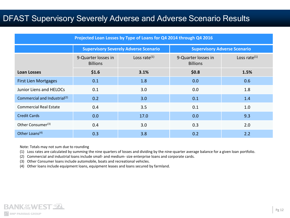## DFAST Supervisory Severely Adverse and Adverse Scenario Results

| Projected Loan Losses by Type of Loans for Q4 2014 through Q4 2016 |                                        |                                              |                                        |                                     |  |  |  |
|--------------------------------------------------------------------|----------------------------------------|----------------------------------------------|----------------------------------------|-------------------------------------|--|--|--|
|                                                                    |                                        | <b>Supervisory Severely Adverse Scenario</b> |                                        | <b>Supervisory Adverse Scenario</b> |  |  |  |
|                                                                    | 9-Quarter losses in<br><b>Billions</b> | Loss rate $(1)$                              | 9-Quarter losses in<br><b>Billions</b> | Loss rate $(1)$                     |  |  |  |
| <b>Loan Losses</b>                                                 | \$1.6                                  | 3.1%                                         | \$0.8\$                                | 1.5%                                |  |  |  |
| <b>First Lien Mortgages</b>                                        | 0.1                                    | 1.8                                          | 0.0                                    | 0.6                                 |  |  |  |
| Junior Liens and HELOCs                                            | 0.1                                    | 3.0                                          | 0.0                                    | 1.8                                 |  |  |  |
| Commercial and Industrial <sup>(2)</sup>                           | 0.2                                    | 3.0                                          | 0.1                                    | 1.4                                 |  |  |  |
| <b>Commercial Real Estate</b>                                      | 0.4                                    | 3.5                                          | 0.1                                    | 1.0                                 |  |  |  |
| <b>Credit Cards</b>                                                | 0.0                                    | 17.0                                         | 0.0                                    | 9.3                                 |  |  |  |
| Other Consumer <sup>(3)</sup>                                      | 0.4                                    | 3.0                                          | 0.3                                    | 2.0                                 |  |  |  |
| Other Loans <sup>(4)</sup>                                         | 0.3                                    | 3.8                                          | 0.2                                    | 2.2                                 |  |  |  |

Note: Totals may not sum due to rounding

(1) Loss rates are calculated by summing the nine quarters of losses and dividing by the nine‐quarter average balance for a given loan portfolio.

(2) Commercial and industrial loans include small- and medium- size enterprise loans and corporate cards.

(3) Other Consumer loans include automobile, boats and recreational vehicles.

(4) Other loans include equipment loans, equipment leases and loans secured by farmland.

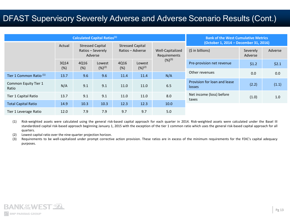## DFAST Supervisory Severely Adverse and Adverse Scenario Results (Cont.)

| <b>Calculated Capital Ratios(1)</b> |             |                                                         |                       |                                             |                       | <b>Bank of the West Cumulative Metrics</b> |                                        |                     |         |
|-------------------------------------|-------------|---------------------------------------------------------|-----------------------|---------------------------------------------|-----------------------|--------------------------------------------|----------------------------------------|---------------------|---------|
|                                     | Actual      | <b>Stressed Capital</b><br>Ratios - Severely<br>Adverse |                       | <b>Stressed Capital</b><br>Ratios - Adverse |                       | Well-Capitalized<br>Requirements           | (October 1, 2014 - December 31, 2016)  |                     |         |
|                                     |             |                                                         |                       |                                             |                       |                                            | $(5$ in billions)                      | Severely<br>Adverse | Adverse |
|                                     | 3Q14<br>(%) | 4Q16<br>(%)                                             | Lowest<br>$(%)^{(2)}$ | 4Q16<br>(%)                                 | Lowest<br>$(%)^{(2)}$ | $(%)^{(3)}$                                | Pre-provision net revenue              | \$1.2               | \$2.1   |
| Tier 1 Common Ratio <sup>(1)</sup>  | 13.7        | 9.6                                                     | 9.6                   | 11.4                                        | 11.4                  | N/A                                        | Other revenues                         | 0.0                 | 0.0     |
| Common Equity Tier 1<br>Ratio       | N/A         | 9.1                                                     | 9.1                   | 11.0                                        | 11.0                  | 6.5                                        | Provision for loan and lease<br>losses | (2.2)               | (1.1)   |
| Tier 1 Capital Ratio                | 13.7        | 9.1                                                     | 9.1                   | 11.0                                        | 11.0                  | 8.0                                        | Net income (loss) before<br>taxes      | (1.0)               | 1.0     |
| <b>Total Capital Ratio</b>          | 14.9        | 10.3                                                    | 10.3                  | 12.3                                        | 12.3                  | 10.0                                       |                                        |                     |         |
| Tier 1 Leverage Ratio               | 12.0        | 7.9                                                     | 7.9                   | 9.7                                         | 9.7                   | 5.0                                        |                                        |                     |         |

(1) Risk-weighted assets were calculated using the general risk-based capital approach for each quarter in 2014. Risk-weighted assets were calculated under the Basel III standardized capital risk-based approach beginning January 1, 2015 with the exception of the tier 1 common ratio which uses the general risk-based capital approach for all quarters.

(2) Lowest capital ratio over the nine-quarter projection horizon.

(3) Requirements to be well-capitalized under prompt corrective action provision. These ratios are in excess of the minimum requirements for the FDIC's capital adequacy purposes.

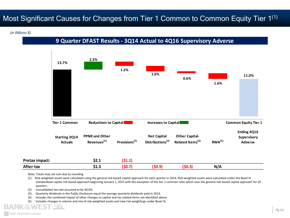## Most Significant Causes for Changes from Tier 1 Common to Common Equity Tier 1<sup>(1)</sup>

*(in Billions \$)*

**9 Quarter DFAST Results - 3Q14 Actual to 4Q16 Supervisory Adverse**



Note: Totals may not sum due to rounding

(1) Risk-weighted assets were calculated using the general risk-based capital approach for each quarter in 2014. Risk-weighted assets were calculated under the Basel III standardized capital risk-based approach beginning January 1, 2015 with the exception of the tier 1 common ratio which uses the general risk-based capital approach for all quarters.

(2) Consolidated tax rate assumed to be 40.6%.

(3) Quarterly dividends in the Public Disclosure equal the average quarterly dividends paid in 2014.

(4) Includes the combined impact of other changes to capital and tax related items not identified above.

(5) Includes changes in volume and mix of risk-weighted assets and new risk-weightings under Basel III.